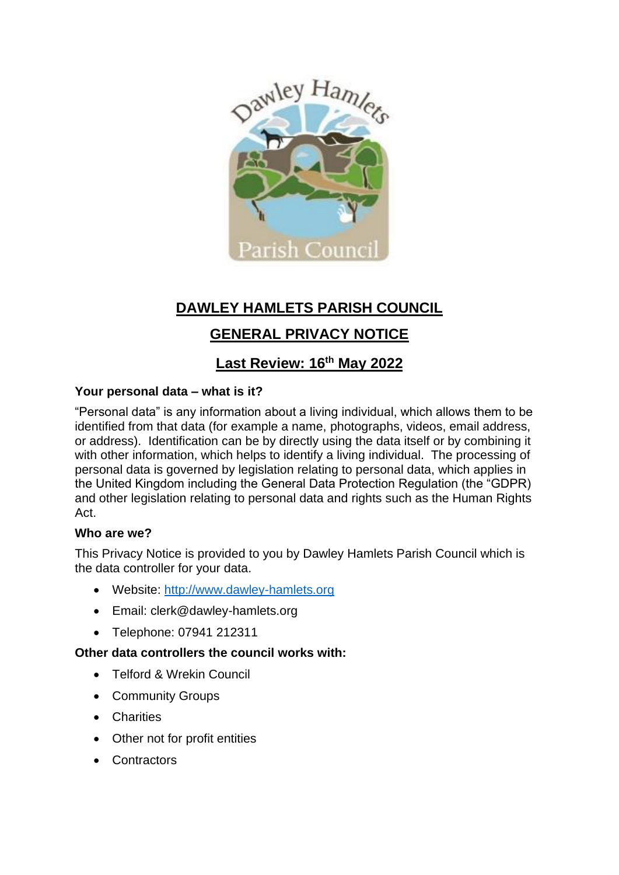

# **DAWLEY HAMLETS PARISH COUNCIL**

# **GENERAL PRIVACY NOTICE**

# **Last Review: 16th May 2022**

## **Your personal data – what is it?**

"Personal data" is any information about a living individual, which allows them to be identified from that data (for example a name, photographs, videos, email address, or address). Identification can be by directly using the data itself or by combining it with other information, which helps to identify a living individual. The processing of personal data is governed by legislation relating to personal data, which applies in the United Kingdom including the General Data Protection Regulation (the "GDPR) and other legislation relating to personal data and rights such as the Human Rights Act.

## **Who are we?**

This Privacy Notice is provided to you by Dawley Hamlets Parish Council which is the data controller for your data.

- Website: [http://www.dawley-hamlets.org](http://www.dawley-hamlets.org/)
- Email: clerk@dawley-hamlets.org
- Telephone: 07941 212311

## **Other data controllers the council works with:**

- Telford & Wrekin Council
- Community Groups
- Charities
- Other not for profit entities
- Contractors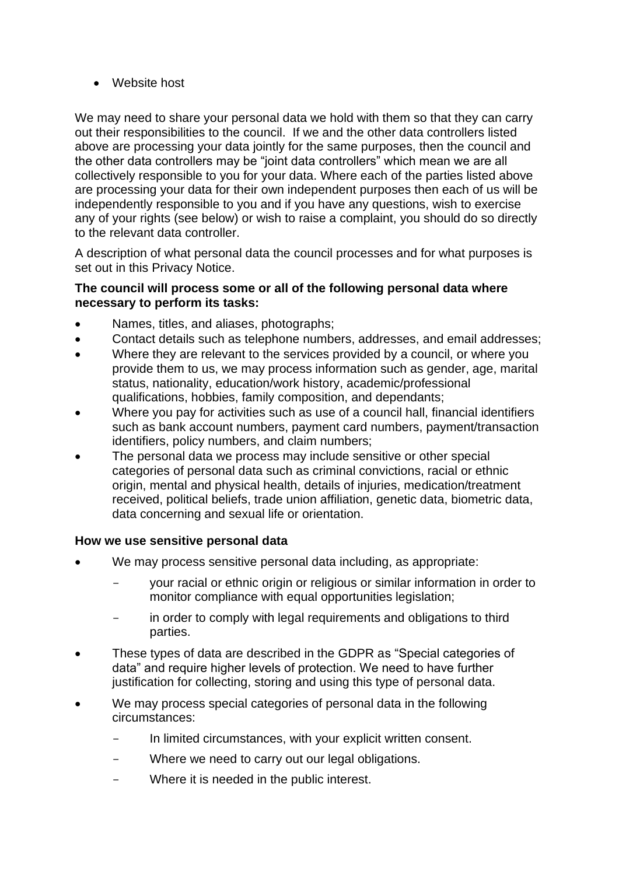• Website host

We may need to share your personal data we hold with them so that they can carry out their responsibilities to the council. If we and the other data controllers listed above are processing your data jointly for the same purposes, then the council and the other data controllers may be "joint data controllers" which mean we are all collectively responsible to you for your data. Where each of the parties listed above are processing your data for their own independent purposes then each of us will be independently responsible to you and if you have any questions, wish to exercise any of your rights (see below) or wish to raise a complaint, you should do so directly to the relevant data controller.

A description of what personal data the council processes and for what purposes is set out in this Privacy Notice.

## **The council will process some or all of the following personal data where necessary to perform its tasks:**

- Names, titles, and aliases, photographs;
- Contact details such as telephone numbers, addresses, and email addresses;
- Where they are relevant to the services provided by a council, or where you provide them to us, we may process information such as gender, age, marital status, nationality, education/work history, academic/professional qualifications, hobbies, family composition, and dependants;
- Where you pay for activities such as use of a council hall, financial identifiers such as bank account numbers, payment card numbers, payment/transaction identifiers, policy numbers, and claim numbers;
- The personal data we process may include sensitive or other special categories of personal data such as criminal convictions, racial or ethnic origin, mental and physical health, details of injuries, medication/treatment received, political beliefs, trade union affiliation, genetic data, biometric data, data concerning and sexual life or orientation.

## **How we use sensitive personal data**

- We may process sensitive personal data including, as appropriate:
	- your racial or ethnic origin or religious or similar information in order to monitor compliance with equal opportunities legislation;
	- in order to comply with legal requirements and obligations to third parties.
- These types of data are described in the GDPR as "Special categories of data" and require higher levels of protection. We need to have further justification for collecting, storing and using this type of personal data.
- We may process special categories of personal data in the following circumstances:
	- In limited circumstances, with your explicit written consent.
	- Where we need to carry out our legal obligations.
	- Where it is needed in the public interest.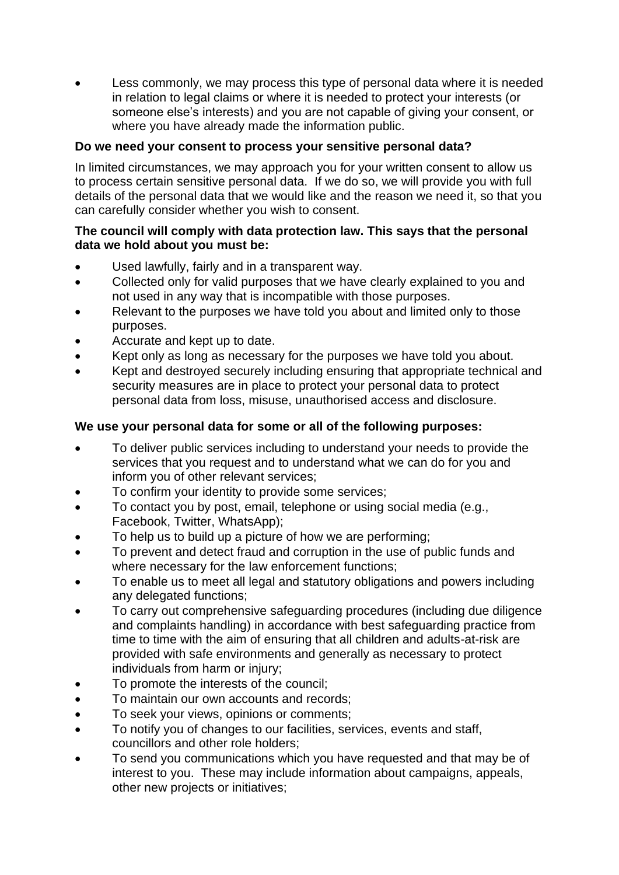Less commonly, we may process this type of personal data where it is needed in relation to legal claims or where it is needed to protect your interests (or someone else's interests) and you are not capable of giving your consent, or where you have already made the information public.

## **Do we need your consent to process your sensitive personal data?**

In limited circumstances, we may approach you for your written consent to allow us to process certain sensitive personal data. If we do so, we will provide you with full details of the personal data that we would like and the reason we need it, so that you can carefully consider whether you wish to consent.

#### **The council will comply with data protection law. This says that the personal data we hold about you must be:**

- Used lawfully, fairly and in a transparent way.
- Collected only for valid purposes that we have clearly explained to you and not used in any way that is incompatible with those purposes.
- Relevant to the purposes we have told you about and limited only to those purposes.
- Accurate and kept up to date.
- Kept only as long as necessary for the purposes we have told you about.
- Kept and destroyed securely including ensuring that appropriate technical and security measures are in place to protect your personal data to protect personal data from loss, misuse, unauthorised access and disclosure.

#### **We use your personal data for some or all of the following purposes:**

- To deliver public services including to understand your needs to provide the services that you request and to understand what we can do for you and inform you of other relevant services;
- To confirm your identity to provide some services;
- To contact you by post, email, telephone or using social media (e.g., Facebook, Twitter, WhatsApp);
- To help us to build up a picture of how we are performing;
- To prevent and detect fraud and corruption in the use of public funds and where necessary for the law enforcement functions;
- To enable us to meet all legal and statutory obligations and powers including any delegated functions;
- To carry out comprehensive safeguarding procedures (including due diligence and complaints handling) in accordance with best safeguarding practice from time to time with the aim of ensuring that all children and adults-at-risk are provided with safe environments and generally as necessary to protect individuals from harm or injury;
- To promote the interests of the council;
- To maintain our own accounts and records;
- To seek your views, opinions or comments;
- To notify you of changes to our facilities, services, events and staff, councillors and other role holders;
- To send you communications which you have requested and that may be of interest to you. These may include information about campaigns, appeals, other new projects or initiatives;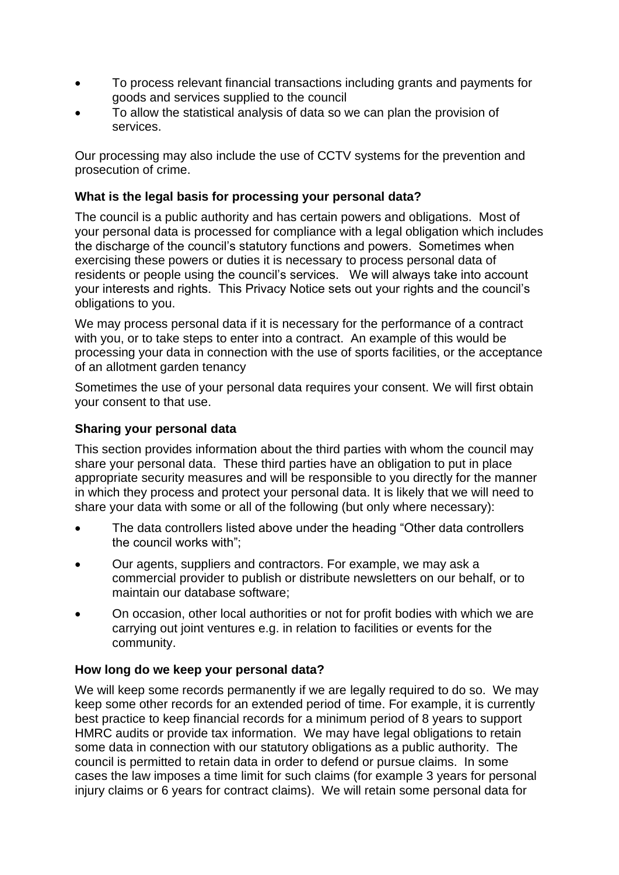- To process relevant financial transactions including grants and payments for goods and services supplied to the council
- To allow the statistical analysis of data so we can plan the provision of services.

Our processing may also include the use of CCTV systems for the prevention and prosecution of crime.

## **What is the legal basis for processing your personal data?**

The council is a public authority and has certain powers and obligations. Most of your personal data is processed for compliance with a legal obligation which includes the discharge of the council's statutory functions and powers. Sometimes when exercising these powers or duties it is necessary to process personal data of residents or people using the council's services. We will always take into account your interests and rights. This Privacy Notice sets out your rights and the council's obligations to you.

We may process personal data if it is necessary for the performance of a contract with you, or to take steps to enter into a contract. An example of this would be processing your data in connection with the use of sports facilities, or the acceptance of an allotment garden tenancy

Sometimes the use of your personal data requires your consent. We will first obtain your consent to that use.

## **Sharing your personal data**

This section provides information about the third parties with whom the council may share your personal data. These third parties have an obligation to put in place appropriate security measures and will be responsible to you directly for the manner in which they process and protect your personal data. It is likely that we will need to share your data with some or all of the following (but only where necessary):

- The data controllers listed above under the heading "Other data controllers the council works with";
- Our agents, suppliers and contractors. For example, we may ask a commercial provider to publish or distribute newsletters on our behalf, or to maintain our database software;
- On occasion, other local authorities or not for profit bodies with which we are carrying out joint ventures e.g. in relation to facilities or events for the community.

## **How long do we keep your personal data?**

We will keep some records permanently if we are legally required to do so. We may keep some other records for an extended period of time. For example, it is currently best practice to keep financial records for a minimum period of 8 years to support HMRC audits or provide tax information. We may have legal obligations to retain some data in connection with our statutory obligations as a public authority. The council is permitted to retain data in order to defend or pursue claims. In some cases the law imposes a time limit for such claims (for example 3 years for personal injury claims or 6 years for contract claims). We will retain some personal data for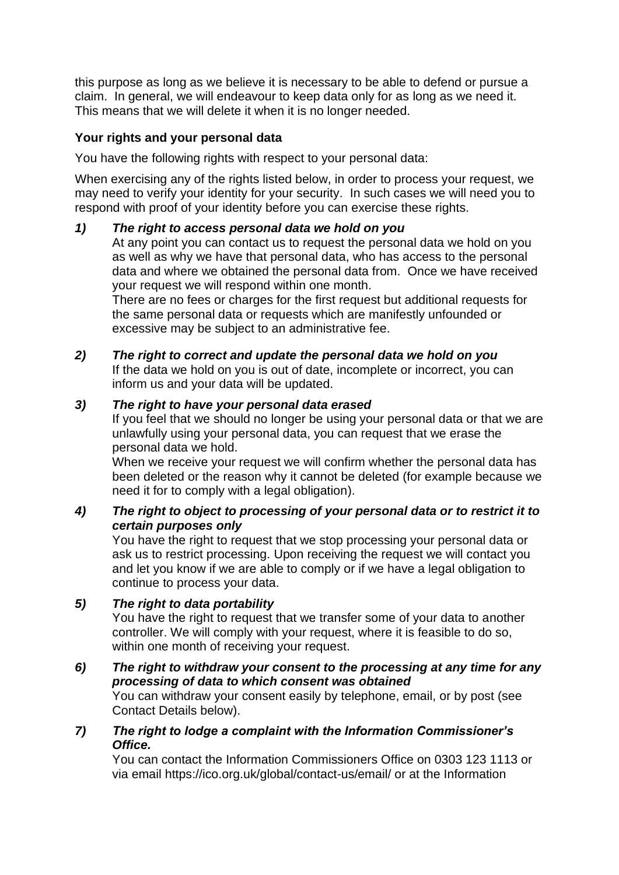this purpose as long as we believe it is necessary to be able to defend or pursue a claim. In general, we will endeavour to keep data only for as long as we need it. This means that we will delete it when it is no longer needed.

## **Your rights and your personal data**

You have the following rights with respect to your personal data:

When exercising any of the rights listed below, in order to process your request, we may need to verify your identity for your security. In such cases we will need you to respond with proof of your identity before you can exercise these rights.

## *1) The right to access personal data we hold on you*

At any point you can contact us to request the personal data we hold on you as well as why we have that personal data, who has access to the personal data and where we obtained the personal data from. Once we have received your request we will respond within one month.

There are no fees or charges for the first request but additional requests for the same personal data or requests which are manifestly unfounded or excessive may be subject to an administrative fee.

## *2) The right to correct and update the personal data we hold on you*

If the data we hold on you is out of date, incomplete or incorrect, you can inform us and your data will be updated.

## *3) The right to have your personal data erased*

If you feel that we should no longer be using your personal data or that we are unlawfully using your personal data, you can request that we erase the personal data we hold.

When we receive your request we will confirm whether the personal data has been deleted or the reason why it cannot be deleted (for example because we need it for to comply with a legal obligation).

## *4) The right to object to processing of your personal data or to restrict it to certain purposes only*

You have the right to request that we stop processing your personal data or ask us to restrict processing. Upon receiving the request we will contact you and let you know if we are able to comply or if we have a legal obligation to continue to process your data.

#### *5) The right to data portability*

You have the right to request that we transfer some of your data to another controller. We will comply with your request, where it is feasible to do so, within one month of receiving your request.

*6) The right to withdraw your consent to the processing at any time for any processing of data to which consent was obtained* You can withdraw your consent easily by telephone, email, or by post (see

Contact Details below).

## *7) The right to lodge a complaint with the Information Commissioner's Office.*

You can contact the Information Commissioners Office on 0303 123 1113 or via email https://ico.org.uk/global/contact-us/email/ or at the Information